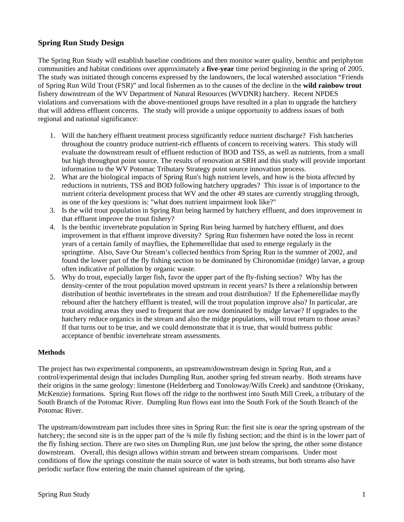# **Spring Run Study Design**

The Spring Run Study will establish baseline conditions and then monitor water quality, benthic and periphyton communities and habitat conditions over approximately a **five**-**year** time period beginning in the spring of 2005. The study was initiated through concerns expressed by the landowners, the local watershed association "Friends of Spring Run Wild Trout (FSR)" and local fishermen as to the causes of the decline in the **wild rainbow trout** fishery downstream of the WV Department of Natural Resources (WVDNR) hatchery. Recent NPDES violations and conversations with the above-mentioned groups have resulted in a plan to upgrade the hatchery that will address effluent concerns. The study will provide a unique opportunity to address issues of both regional and national significance:

- 1. Will the hatchery effluent treatment process significantly reduce nutrient discharge? Fish hatcheries throughout the country produce nutrient-rich effluents of concern to receiving waters. This study will evaluate the downstream result of effluent reduction of BOD and TSS, as well as nutrients, from a small but high throughput point source. The results of renovation at SRH and this study will provide important information to the WV Potomac Tributary Strategy point source innovation process.
- 2. What are the biological impacts of Spring Run's high nutrient levels, and how is the biota affected by reductions in nutrients, TSS and BOD following hatchery upgrades? This issue is of importance to the nutrient criteria development process that WV and the other 49 states are currently struggling through, as one of the key questions is: "what does nutrient impairment look like?"
- 3. Is the wild trout population in Spring Run being harmed by hatchery effluent, and does improvement in that effluent improve the trout fishery?
- 4. Is the benthic invertebrate population in Spring Run being harmed by hatchery effluent, and does improvement in that effluent improve diversity? Spring Run fishermen have noted the loss in recent years of a certain family of mayflies, the Ephemerellidae that used to emerge regularly in the springtime. Also, Save Our Stream's collected benthics from Spring Run in the summer of 2002, and found the lower part of the fly fishing section to be dominated by Chironomidae (midge) larvae, a group often indicative of pollution by organic waste.
- 5. Why do trout, especially larger fish, favor the upper part of the fly-fishing section? Why has the density-center of the trout population moved upstream in recent years? Is there a relationship between distribution of benthic invertebrates in the stream and trout distribution? If the Ephemerellidae mayfly rebound after the hatchery effluent is treated, will the trout population improve also? In particular, are trout avoiding areas they used to frequent that are now dominated by midge larvae? If upgrades to the hatchery reduce organics in the stream and also the midge populations, will trout return to those areas? If that turns out to be true, and we could demonstrate that it is true, that would buttress public acceptance of benthic invertebrate stream assessments.

#### **Methods**

The project has two experimental components, an upstream/downstream design in Spring Run, and a control/experimental design that includes Dumpling Run, another spring fed stream nearby. Both streams have their origins in the same geology: limestone (Helderberg and Tonoloway/Wills Creek) and sandstone (Oriskany, McKenzie) formations. Spring Run flows off the ridge to the northwest into South Mill Creek, a tributary of the South Branch of the Potomac River. Dumpling Run flows east into the South Fork of the South Branch of the Potomac River.

The upstream/downstream part includes three sites in Spring Run: the first site is near the spring upstream of the hatchery; the second site is in the upper part of the  $\frac{3}{4}$  mile fly fishing section; and the third is in the lower part of the fly fishing section. There are two sites on Dumpling Run, one just below the spring, the other some distance downstream. Overall, this design allows within stream and between stream comparisons. Under most conditions of flow the springs constitute the main source of water in both streams, but both streams also have periodic surface flow entering the main channel upstream of the spring.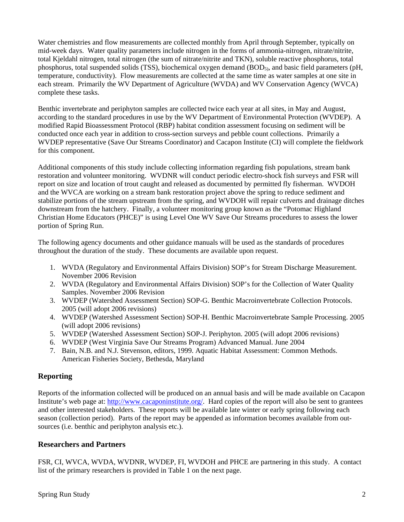Water chemistries and flow measurements are collected monthly from April through September, typically on mid-week days. Water quality parameters include nitrogen in the forms of ammonia-nitrogen, nitrate/nitrite, total Kjeldahl nitrogen, total nitrogen (the sum of nitrate/nitrite and TKN), soluble reactive phosphorus, total phosphorus, total suspended solids (TSS), biochemical oxygen demand (BOD $_5$ ), and basic field parameters (pH, temperature, conductivity). Flow measurements are collected at the same time as water samples at one site in each stream. Primarily the WV Department of Agriculture (WVDA) and WV Conservation Agency (WVCA) complete these tasks.

Benthic invertebrate and periphyton samples are collected twice each year at all sites, in May and August, according to the standard procedures in use by the WV Department of Environmental Protection (WVDEP). A modified Rapid Bioassessment Protocol (RBP) habitat condition assessment focusing on sediment will be conducted once each year in addition to cross-section surveys and pebble count collections. Primarily a WVDEP representative (Save Our Streams Coordinator) and Cacapon Institute (CI) will complete the fieldwork for this component.

Additional components of this study include collecting information regarding fish populations, stream bank restoration and volunteer monitoring. WVDNR will conduct periodic electro-shock fish surveys and FSR will report on size and location of trout caught and released as documented by permitted fly fisherman. WVDOH and the WVCA are working on a stream bank restoration project above the spring to reduce sediment and stabilize portions of the stream upstream from the spring, and WVDOH will repair culverts and drainage ditches downstream from the hatchery. Finally, a volunteer monitoring group known as the "Potomac Highland Christian Home Educators (PHCE)" is using Level One WV Save Our Streams procedures to assess the lower portion of Spring Run.

The following agency documents and other guidance manuals will be used as the standards of procedures throughout the duration of the study. These documents are available upon request.

- 1. WVDA (Regulatory and Environmental Affairs Division) SOP's for Stream Discharge Measurement. November 2006 Revision
- 2. WVDA (Regulatory and Environmental Affairs Division) SOP's for the Collection of Water Quality Samples. November 2006 Revision
- 3. WVDEP (Watershed Assessment Section) SOP-G. Benthic Macroinvertebrate Collection Protocols. 2005 (will adopt 2006 revisions)
- 4. WVDEP (Watershed Assessment Section) SOP-H. Benthic Macroinvertebrate Sample Processing. 2005 (will adopt 2006 revisions)
- 5. WVDEP (Watershed Assessment Section) SOP-J. Periphyton. 2005 (will adopt 2006 revisions)
- 6. WVDEP (West Virginia Save Our Streams Program) Advanced Manual. June 2004
- 7. Bain, N.B. and N.J. Stevenson, editors, 1999. Aquatic Habitat Assessment: Common Methods. American Fisheries Society, Bethesda, Maryland

## **Reporting**

Reports of the information collected will be produced on an annual basis and will be made available on Cacapon Institute's web page at: http://www.cacaponinstitute.org/. Hard copies of the report will also be sent to grantees and other interested stakeholders. These reports will be available late winter or early spring following each season (collection period). Parts of the report may be appended as information becomes available from outsources (i.e. benthic and periphyton analysis etc.).

## **Researchers and Partners**

FSR, CI, WVCA, WVDA, WVDNR, WVDEP, FI, WVDOH and PHCE are partnering in this study. A contact list of the primary researchers is provided in Table 1 on the next page.